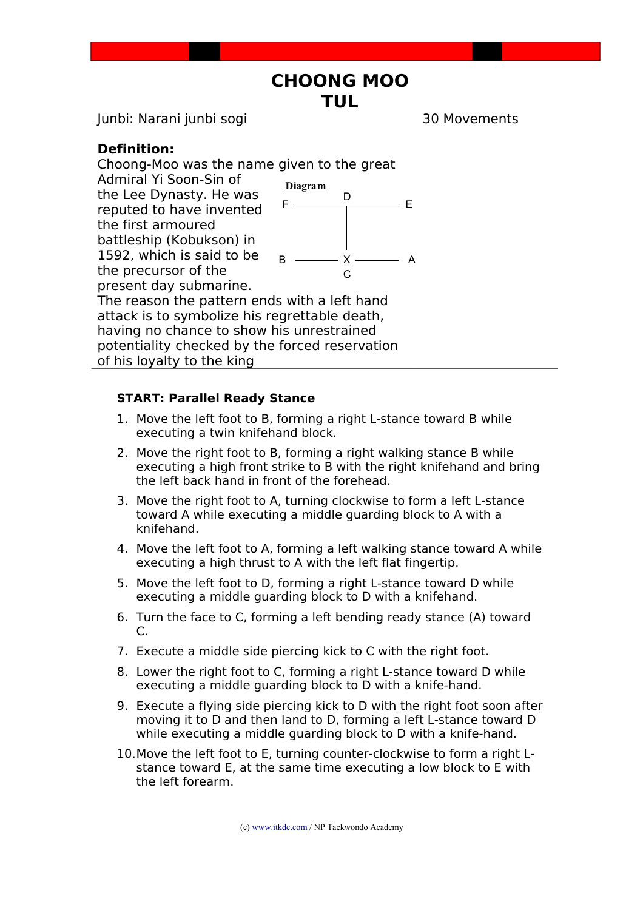## **CHOONG MOO TUL**

Junbi: Narani junbi sogi 30 Movements

## **Definition:**

Choong-Moo was the name given to the great Admiral Yi Soon-Sin of the Lee Dynasty. He was reputed to have invented the first armoured battleship (Kobukson) in 1592, which is said to be the precursor of the present day submarine. The reason the pattern ends with a left hand attack is to symbolize his regrettable death, having no chance to show his unrestrained potentiality checked by the forced reservation of his loyalty to the king  $B \longrightarrow X \longrightarrow A$  $\overline{C}$ D **Diagram** F E

## **START: Parallel Ready Stance**

- 1. Move the left foot to B, forming a right L-stance toward B while executing a twin knifehand block.
- 2. Move the right foot to B, forming a right walking stance B while executing a high front strike to B with the right knifehand and bring the left back hand in front of the forehead.
- 3. Move the right foot to A, turning clockwise to form a left L-stance toward A while executing a middle guarding block to A with a knifehand.
- 4. Move the left foot to A, forming a left walking stance toward A while executing a high thrust to A with the left flat fingertip.
- 5. Move the left foot to D, forming a right L-stance toward D while executing a middle guarding block to D with a knifehand.
- 6. Turn the face to C, forming a left bending ready stance (A) toward C.
- 7. Execute a middle side piercing kick to C with the right foot.
- 8. Lower the right foot to C, forming a right L-stance toward D while executing a middle guarding block to D with a knife-hand.
- 9. Execute a flying side piercing kick to D with the right foot soon after moving it to D and then land to D, forming a left L-stance toward D while executing a middle guarding block to D with a knife-hand.
- 10.Move the left foot to E, turning counter-clockwise to form a right Lstance toward E, at the same time executing a low block to E with the left forearm.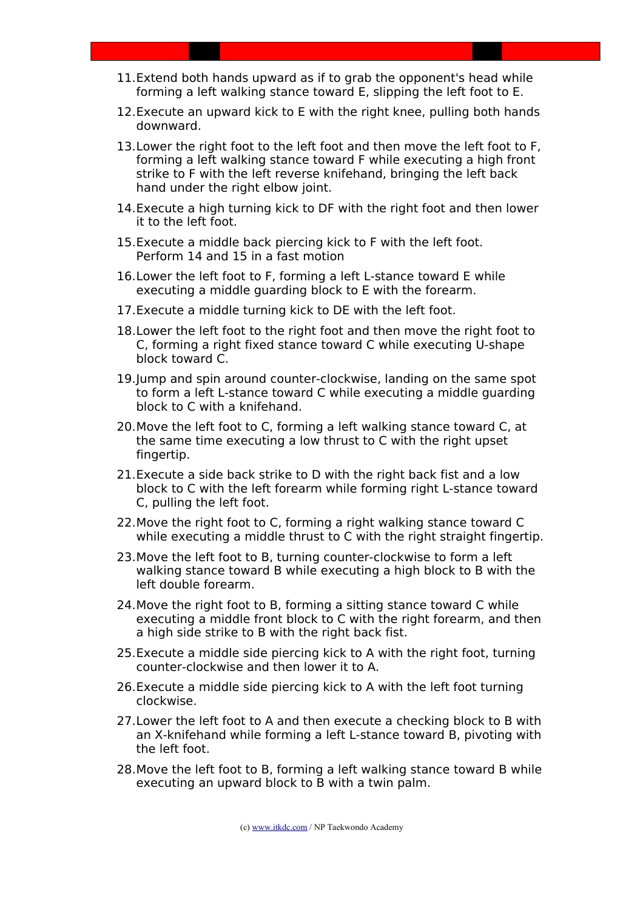- 11.Extend both hands upward as if to grab the opponent's head while forming a left walking stance toward E, slipping the left foot to E.
- 12.Execute an upward kick to E with the right knee, pulling both hands downward.
- 13.Lower the right foot to the left foot and then move the left foot to F, forming a left walking stance toward F while executing a high front strike to F with the left reverse knifehand, bringing the left back hand under the right elbow joint.
- 14.Execute a high turning kick to DF with the right foot and then lower it to the left foot.
- 15.Execute a middle back piercing kick to F with the left foot. Perform 14 and 15 in a fast motion
- 16.Lower the left foot to F, forming a left L-stance toward E while executing a middle guarding block to E with the forearm.
- 17.Execute a middle turning kick to DE with the left foot.
- 18.Lower the left foot to the right foot and then move the right foot to C, forming a right fixed stance toward C while executing U-shape block toward C.
- 19.Jump and spin around counter-clockwise, landing on the same spot to form a left L-stance toward C while executing a middle guarding block to C with a knifehand.
- 20.Move the left foot to C, forming a left walking stance toward C, at the same time executing a low thrust to C with the right upset fingertip.
- 21.Execute a side back strike to D with the right back fist and a low block to C with the left forearm while forming right L-stance toward C, pulling the left foot.
- 22.Move the right foot to C, forming a right walking stance toward C while executing a middle thrust to C with the right straight fingertip.
- 23.Move the left foot to B, turning counter-clockwise to form a left walking stance toward B while executing a high block to B with the left double forearm.
- 24.Move the right foot to B, forming a sitting stance toward C while executing a middle front block to C with the right forearm, and then a high side strike to B with the right back fist.
- 25.Execute a middle side piercing kick to A with the right foot, turning counter-clockwise and then lower it to A.
- 26.Execute a middle side piercing kick to A with the left foot turning clockwise.
- 27.Lower the left foot to A and then execute a checking block to B with an X-knifehand while forming a left L-stance toward B, pivoting with the left foot.
- 28.Move the left foot to B, forming a left walking stance toward B while executing an upward block to B with a twin palm.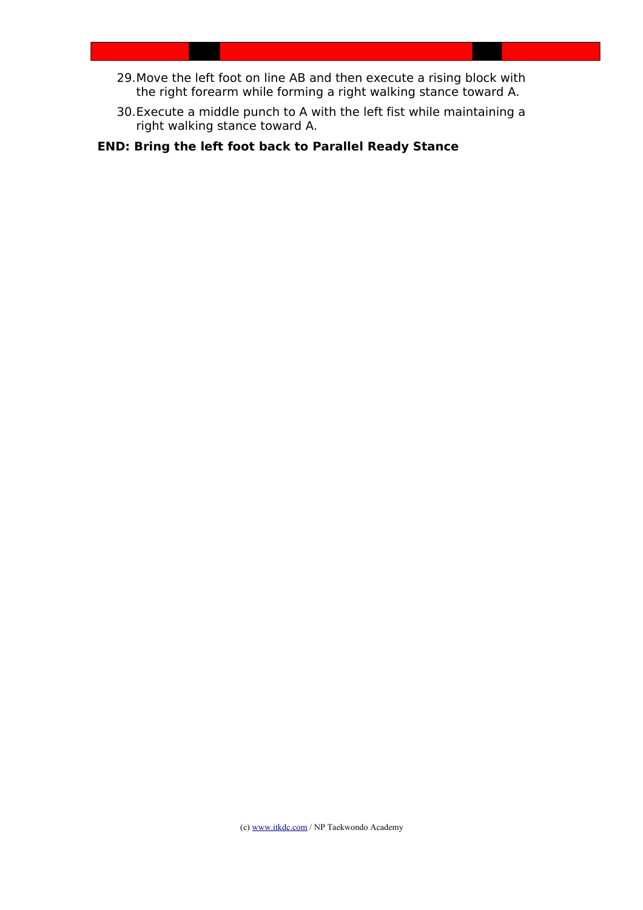- 29.Move the left foot on line AB and then execute a rising block with the right forearm while forming a right walking stance toward A.
- 30.Execute a middle punch to A with the left fist while maintaining a right walking stance toward A.

**END: Bring the left foot back to Parallel Ready Stance**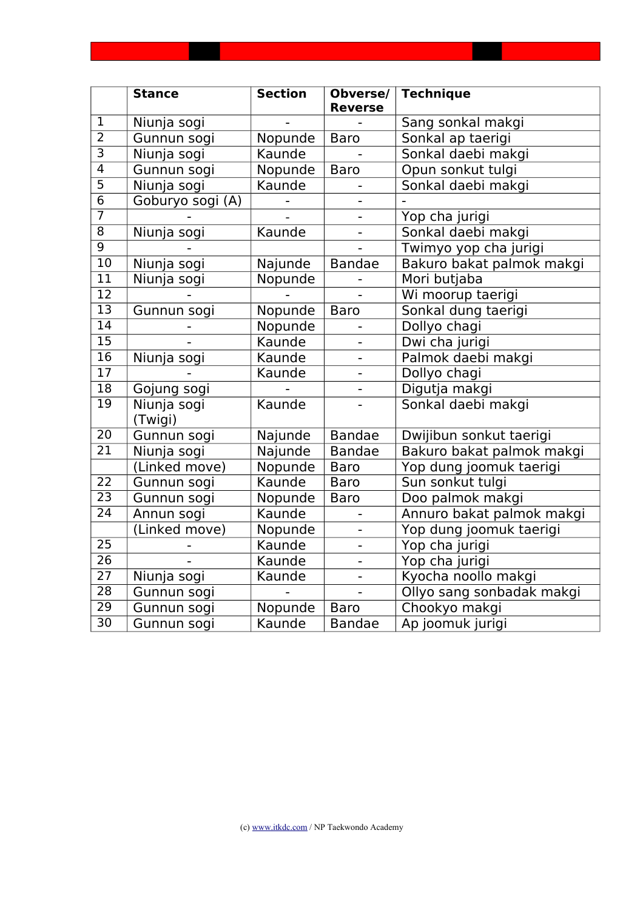|                 | <b>Stance</b>          | <b>Section</b> | Obverse/<br><b>Reverse</b> | <b>Technique</b>          |
|-----------------|------------------------|----------------|----------------------------|---------------------------|
| $\overline{1}$  | Niunja sogi            |                |                            | Sang sonkal makgi         |
| $\overline{2}$  | Gunnun sogi            | Nopunde        | <b>Baro</b>                | Sonkal ap taerigi         |
| $\overline{3}$  | Niunja sogi            | Kaunde         |                            | Sonkal daebi makgi        |
| $\overline{4}$  | Gunnun sogi            | Nopunde        | <b>Baro</b>                | Opun sonkut tulgi         |
| $\overline{5}$  | Niunja sogi            | Kaunde         |                            | Sonkal daebi makgi        |
| $\overline{6}$  | Goburyo sogi (A)       |                |                            |                           |
| $\overline{7}$  |                        |                |                            | Yop cha jurigi            |
| $\overline{8}$  | Niunja sogi            | Kaunde         |                            | Sonkal daebi makgi        |
| $\overline{9}$  |                        |                |                            | Twimyo yop cha jurigi     |
| $\overline{10}$ | Niunja sogi            | Najunde        | <b>Bandae</b>              | Bakuro bakat palmok makgi |
| 11              | Niunja sogi            | Nopunde        |                            | Mori butjaba              |
| $\overline{12}$ |                        |                |                            | Wi moorup taerigi         |
| $\overline{13}$ | Gunnun sogi            | Nopunde        | <b>Baro</b>                | Sonkal dung taerigi       |
| $\overline{14}$ |                        | Nopunde        |                            | Dollyo chagi              |
| $\overline{15}$ |                        | Kaunde         |                            | Dwi cha jurigi            |
| $\overline{16}$ | Niunja sogi            | Kaunde         |                            | Palmok daebi makgi        |
| $\overline{17}$ |                        | Kaunde         | $\blacksquare$             | Dollyo chagi              |
| $\overline{18}$ | Gojung sogi            |                |                            | Digutja makgi             |
| $\overline{19}$ | Niunja sogi<br>(Twigi) | Kaunde         |                            | Sonkal daebi makgi        |
| $\overline{20}$ | Gunnun sogi            | Najunde        | <b>Bandae</b>              | Dwijibun sonkut taerigi   |
| $\overline{21}$ | Niunja sogi            | Najunde        | <b>Bandae</b>              | Bakuro bakat palmok makgi |
|                 | (Linked move)          | Nopunde        | <b>Baro</b>                | Yop dung joomuk taerigi   |
| 22              | Gunnun sogi            | Kaunde         | <b>Baro</b>                | Sun sonkut tulgi          |
| $\overline{23}$ | Gunnun sogi            | Nopunde        | <b>Baro</b>                | Doo palmok makgi          |
| 24              | Annun sogi             | Kaunde         |                            | Annuro bakat palmok makgi |
|                 | (Linked move)          | Nopunde        |                            | Yop dung joomuk taerigi   |
| $\overline{25}$ |                        | Kaunde         |                            | Yop cha jurigi            |
| $\overline{26}$ |                        | Kaunde         |                            | Yop cha jurigi            |
| 27              | Niunja sogi            | Kaunde         | $\overline{\phantom{0}}$   | Kyocha noollo makgi       |
| $\overline{28}$ | Gunnun sogi            |                |                            | Ollyo sang sonbadak makgi |
| 29              | Gunnun sogi            | Nopunde        | <b>Baro</b>                | Chookyo makgi             |
| $\overline{30}$ | Gunnun sogi            | Kaunde         | <b>Bandae</b>              | Ap joomuk jurigi          |